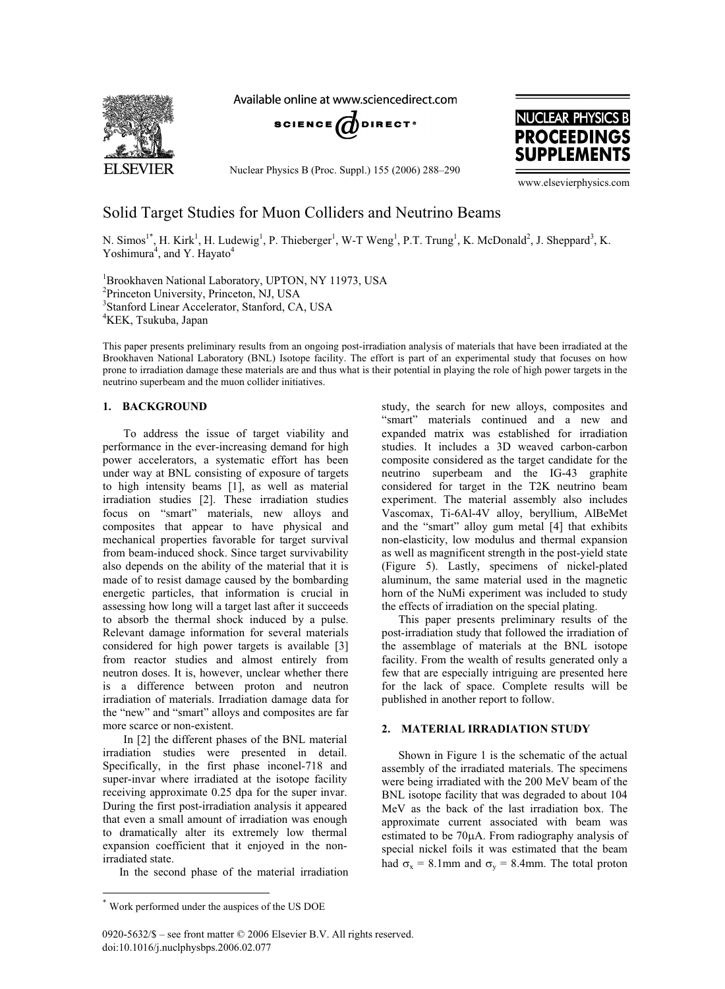

Available online at www.sciencedirect.com



Nuclear Physics B (Proc. Suppl.) 155 (2006) 288–290



www.elsevierphysics.com

# Solid Target Studies for Muon Colliders and Neutrino Beams

N. Simos<sup>1\*</sup>, H. Kirk<sup>1</sup>, H. Ludewig<sup>1</sup>, P. Thieberger<sup>1</sup>, W-T Weng<sup>1</sup>, P.T. Trung<sup>1</sup>, K. McDonald<sup>2</sup>, J. Sheppard<sup>3</sup>, K. Yoshimura<sup>4</sup>, and Y. Hayato<sup>4</sup>

 Brookhaven National Laboratory, UPTON, NY 11973, USA <sup>2</sup>Princeton University, Princeton, NJ, USA Stanford Linear Accelerator, Stanford, CA, USA KEK, Tsukuba, Japan

This paper presents preliminary results from an ongoing post-irradiation analysis of materials that have been irradiated at the Brookhaven National Laboratory (BNL) Isotope facility. The effort is part of an experimental study that focuses on how prone to irradiation damage these materials are and thus what is their potential in playing the role of high power targets in the neutrino superbeam and the muon collider initiatives.

To address the issue of target viability and performance in the ever-increasing demand for high power accelerators, a systematic effort has been under way at BNL consisting of exposure of targets to high intensity beams [1], as well as material irradiation studies [2]. These irradiation studies focus on "smart" materials, new alloys and composites that appear to have physical and mechanical properties favorable for target survival from beam-induced shock. Since target survivability also depends on the ability of the material that it is made of to resist damage caused by the bombarding energetic particles, that information is crucial in assessing how long will a target last after it succeeds to absorb the thermal shock induced by a pulse. Relevant damage information for several materials considered for high power targets is available [3] from reactor studies and almost entirely from neutron doses. It is, however, unclear whether there is a difference between proton and neutron irradiation of materials. Irradiation damage data for the "new" and "smart" alloys and composites are far more scarce or non-existent.

In [2] the different phases of the BNL material irradiation studies were presented in detail. Specifically, in the first phase inconel-718 and super-invar where irradiated at the isotope facility receiving approximate 0.25 dpa for the super invar. During the first post-irradiation analysis it appeared that even a small amount of irradiation was enough to dramatically alter its extremely low thermal expansion coefficient that it enjoyed in the nonirradiated state.

In the second phase of the material irradiation

study, the search for new alloys, composites and "smart" materials continued and a new and expanded matrix was established for irradiation studies. It includes a 3D weaved carbon-carbon composite considered as the target candidate for the neutrino superbeam and the IG-43 graphite considered for target in the T2K neutrino beam experiment. The material assembly also includes Vascomax, Ti-6Al-4V alloy, beryllium, AlBeMet and the "smart" alloy gum metal [4] that exhibits non-elasticity, low modulus and thermal expansion as well as magnificent strength in the post-yield state (Figure 5). Lastly, specimens of nickel-plated aluminum, the same material used in the magnetic horn of the NuMi experiment was included to study the effects of irradiation on the special plating.

This paper presents preliminary results of the post-irradiation study that followed the irradiation of the assemblage of materials at the BNL isotope facility. From the wealth of results generated only a few that are especially intriguing are presented here for the lack of space. Complete results will be published in another report to follow.

## 2. MATERIAL IRRADIATION STUDY

Shown in Figure 1 is the schematic of the actual assembly of the irradiated materials. The specimens were being irradiated with the 200 MeV beam of the BNL isotope facility that was degraded to about 104 MeV as the back of the last irradiation box. The approximate current associated with beam was estimated to be  $70\mu$ A. From radiography analysis of special nickel foils it was estimated that the beam had  $\sigma_x = 8.1$ mm and  $\sigma_y = 8.4$ mm. The total proton

Work performed under the auspices of the US DOE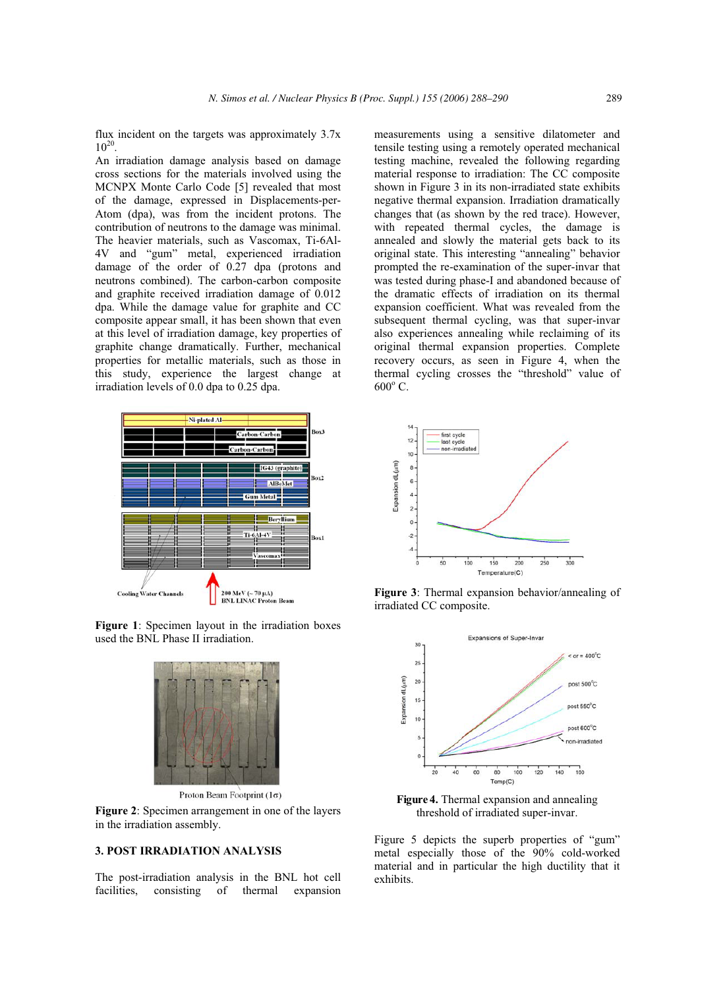flux incident on the targets was approximately 3.7x  $10^{20}$ 

An irradiation damage analysis based on damage cross sections for the materials involved using the MCNPX Monte Carlo Code [5] revealed that most of the damage, expressed in Displacements-per-Atom (dpa), was from the incident protons. The contribution of neutrons to the damage was minimal. The heavier materials, such as Vascomax, Ti-6Al-4V and "gum" metal, experienced irradiation damage of the order of 0.27 dpa (protons and neutrons combined). The carbon-carbon composite and graphite received irradiation damage of 0.012 dpa. While the damage value for graphite and CC composite appear small, it has been shown that even at this level of irradiation damage, key properties of graphite change dramatically. Further, mechanical properties for metallic materials, such as those in this study, experience the largest change at irradiation levels of 0.0 dpa to 0.25 dpa.



**Figure 1**: Specimen layout in the irradiation boxes used the BNL Phase II irradiation.



Proton Beam Footprint (1σ)

**Figure 2**: Specimen arrangement in one of the layers in the irradiation assembly.

The post-irradiation analysis in the BNL hot cell facilities, consisting of thermal expansion measurements using a sensitive dilatometer and tensile testing using a remotely operated mechanical testing machine, revealed the following regarding material response to irradiation: The CC composite shown in Figure 3 in its non-irradiated state exhibits negative thermal expansion. Irradiation dramatically changes that (as shown by the red trace). However, with repeated thermal cycles, the damage is annealed and slowly the material gets back to its original state. This interesting "annealing" behavior prompted the re-examination of the super-invar that was tested during phase-I and abandoned because of the dramatic effects of irradiation on its thermal expansion coefficient. What was revealed from the subsequent thermal cycling, was that super-invar also experiences annealing while reclaiming of its original thermal expansion properties. Complete recovery occurs, as seen in Figure 4, when the thermal cycling crosses the "threshold" value of  $600^{\rm o}$  C.



**Figure 3**: Thermal expansion behavior/annealing of irradiated CC composite.



**Figure 4.** Thermal expansion and annealing threshold of irradiated super-invar.

Figure 5 depicts the superb properties of "gum" metal especially those of the 90% cold-worked material and in particular the high ductility that it exhibits.